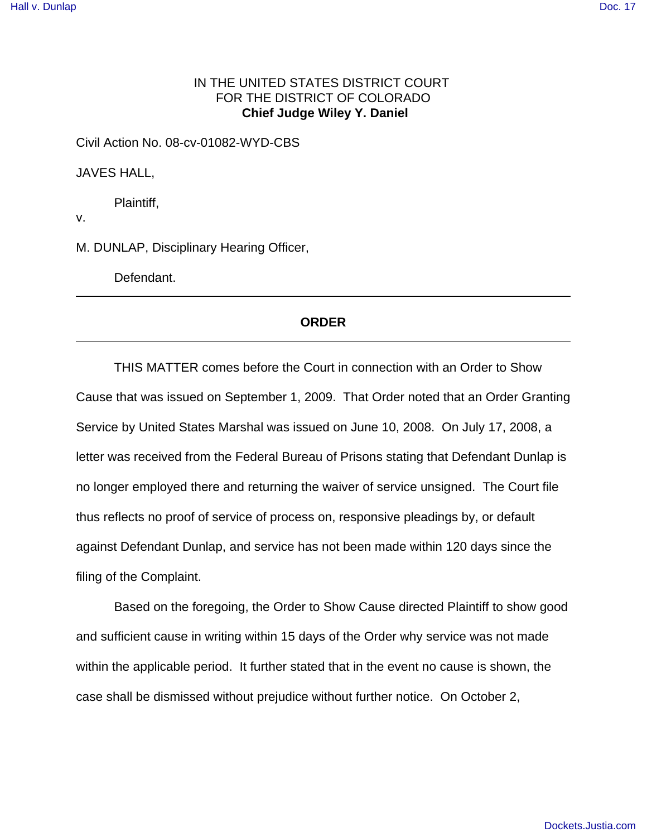## IN THE UNITED STATES DISTRICT COURT FOR THE DISTRICT OF COLORADO  **Chief Judge Wiley Y. Daniel**

Civil Action No. 08-cv-01082-WYD-CBS

JAVES HALL,

Plaintiff,

v.

M. DUNLAP, Disciplinary Hearing Officer,

Defendant.

## **ORDER**

THIS MATTER comes before the Court in connection with an Order to Show Cause that was issued on September 1, 2009. That Order noted that an Order Granting Service by United States Marshal was issued on June 10, 2008. On July 17, 2008, a letter was received from the Federal Bureau of Prisons stating that Defendant Dunlap is no longer employed there and returning the waiver of service unsigned. The Court file thus reflects no proof of service of process on, responsive pleadings by, or default against Defendant Dunlap, and service has not been made within 120 days since the filing of the Complaint.

Based on the foregoing, the Order to Show Cause directed Plaintiff to show good and sufficient cause in writing within 15 days of the Order why service was not made within the applicable period. It further stated that in the event no cause is shown, the case shall be dismissed without prejudice without further notice. On October 2,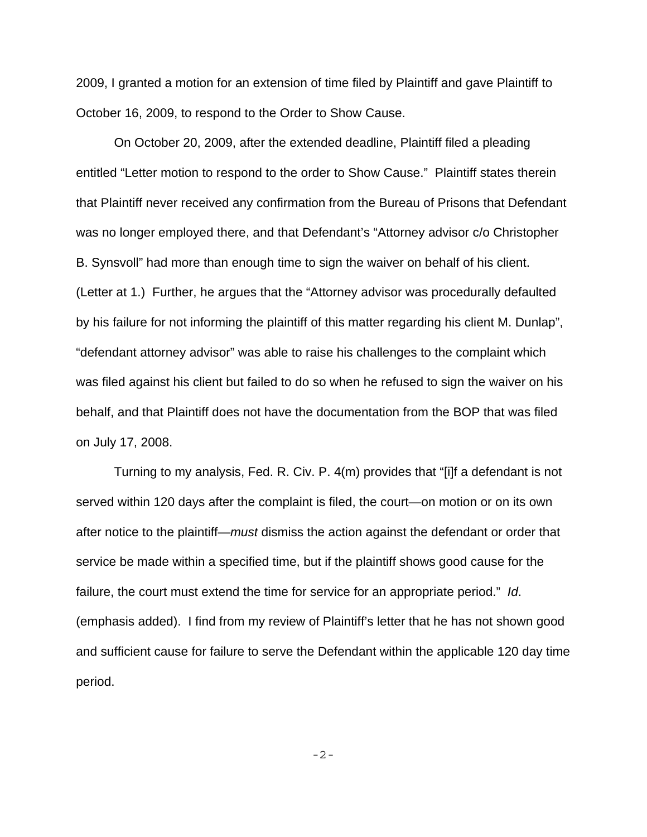2009, I granted a motion for an extension of time filed by Plaintiff and gave Plaintiff to October 16, 2009, to respond to the Order to Show Cause.

On October 20, 2009, after the extended deadline, Plaintiff filed a pleading entitled "Letter motion to respond to the order to Show Cause." Plaintiff states therein that Plaintiff never received any confirmation from the Bureau of Prisons that Defendant was no longer employed there, and that Defendant's "Attorney advisor c/o Christopher B. Synsvoll" had more than enough time to sign the waiver on behalf of his client. (Letter at 1.) Further, he argues that the "Attorney advisor was procedurally defaulted by his failure for not informing the plaintiff of this matter regarding his client M. Dunlap", "defendant attorney advisor" was able to raise his challenges to the complaint which was filed against his client but failed to do so when he refused to sign the waiver on his behalf, and that Plaintiff does not have the documentation from the BOP that was filed on July 17, 2008.

Turning to my analysis, Fed. R. Civ. P. 4(m) provides that "[i]f a defendant is not served within 120 days after the complaint is filed, the court—on motion or on its own after notice to the plaintiff—must dismiss the action against the defendant or order that service be made within a specified time, but if the plaintiff shows good cause for the failure, the court must extend the time for service for an appropriate period." Id. (emphasis added). I find from my review of Plaintiff's letter that he has not shown good and sufficient cause for failure to serve the Defendant within the applicable 120 day time period.

-2-